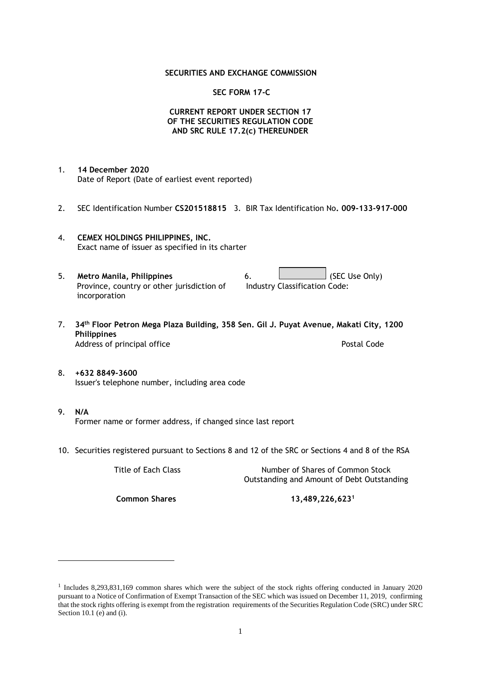#### **SECURITIES AND EXCHANGE COMMISSION**

#### **SEC FORM 17-C**

### **CURRENT REPORT UNDER SECTION 17 OF THE SECURITIES REGULATION CODE AND SRC RULE 17.2(c) THEREUNDER**

- 1. **14 December 2020** Date of Report (Date of earliest event reported)
- 2. SEC Identification Number **CS201518815** 3. BIR Tax Identification No**. 009-133-917-000**
- 4. **CEMEX HOLDINGS PHILIPPINES, INC.** Exact name of issuer as specified in its charter
- 5. **Metro Manila, Philippines** 6. **Consumers 6.** (SEC Use Only) Province, country or other jurisdiction of incorporation Industry Classification Code:
- 7. **34th Floor Petron Mega Plaza Building, 358 Sen. Gil J. Puyat Avenue, Makati City, 1200 Philippines** Address of principal office **Postal Code** Postal Code
- 8. **+632 8849-3600** Issuer's telephone number, including area code
- 9. **N/A** Former name or former address, if changed since last report
- 10. Securities registered pursuant to Sections 8 and 12 of the SRC or Sections 4 and 8 of the RSA

Title of Each Class Number of Shares of Common Stock Outstanding and Amount of Debt Outstanding

**Common Shares 13,489,226,623<sup>1</sup>**

<sup>1</sup> Includes 8,293,831,169 common shares which were the subject of the stock rights offering conducted in January 2020 pursuant to a Notice of Confirmation of Exempt Transaction of the SEC which was issued on December 11, 2019, confirming that the stock rights offering is exempt from the registration requirements of the Securities Regulation Code (SRC) under SRC Section 10.1 (e) and (i).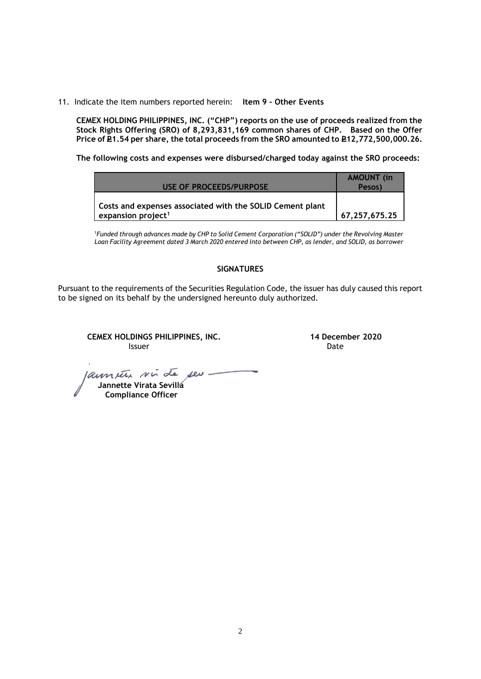11. Indicate the item numbers reported herein: **Item 9 - Other Events**

**CEMEX HOLDING PHILIPPINES, INC. ("CHP") reports on the use of proceeds realized from the Stock Rights Offering (SRO) of 8,293,831,169 common shares of CHP. Based on the Offer**  Price of **P1.54** per share, the total proceeds from the SRO amounted to P12,772,500,000.26.

**The following costs and expenses were disbursed/charged today against the SRO proceeds:**

| USE OF PROCEEDS/PURPOSE                                                                     | <b>AMOUNT</b> (in<br>Pesos) |
|---------------------------------------------------------------------------------------------|-----------------------------|
| Costs and expenses associated with the SOLID Cement plant<br>expansion project <sup>1</sup> | 67,257,675.25               |

<sup>1</sup>*Funded through advances made by CHP to Solid Cement Corporation ("SOLID") under the Revolving Master Loan Facility Agreement dated 3 March 2020 entered into between CHP, as lender, and SOLID, as borrower*

#### **SIGNATURES**

Pursuant to the requirements of the Securities Regulation Code, the issuer has duly caused this report to be signed on its behalf by the undersigned hereunto duly authorized.

**CEMEX HOLDINGS PHILIPPINES, INC. 14 December 2020 Issuer Date** 

launete sin de seu -

 **Jannette Virata Sevilla Compliance Officer**